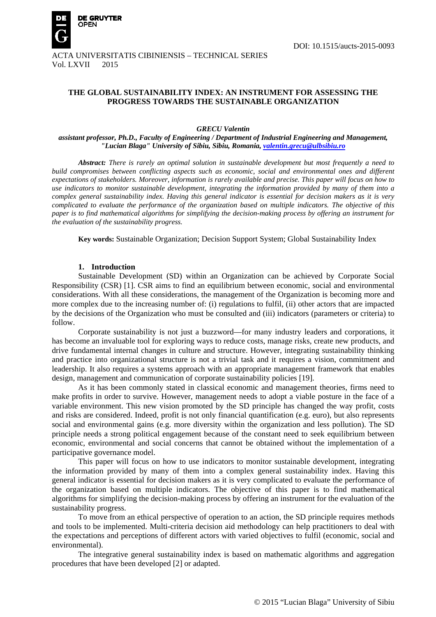

DOI: 10.1515/aucts-2015-0093

ACTA UNIVERSITATIS CIBINIENSIS – TECHNICAL SERIES Vol. LXVII 2015

# **THE GLOBAL SUSTAINABILITY INDEX: AN INSTRUMENT FOR ASSESSING THE PROGRESS TOWARDS THE SUSTAINABLE ORGANIZATION**

#### *GRECU Valentin*

*assistant professor, Ph.D., Faculty of Engineering / Department of Industrial Engineering and Management, "Lucian Blaga" University of Sibiu, Sibiu, Romania, [valentin.grecu@ulbsibiu.ro](mailto:valentin.grecu@ulbsibiu.ro)* 

*Abstract: There is rarely an optimal solution in sustainable development but most frequently a need to build compromises between conflicting aspects such as economic, social and environmental ones and different expectations of stakeholders. Moreover, information is rarely available and precise. This paper will focus on how to use indicators to monitor sustainable development, integrating the information provided by many of them into a complex general sustainability index. Having this general indicator is essential for decision makers as it is very complicated to evaluate the performance of the organization based on multiple indicators. The objective of this paper is to find mathematical algorithms for simplifying the decision-making process by offering an instrument for the evaluation of the sustainability progress.*

**Key words:** Sustainable Organization; Decision Support System; Global Sustainability Index

#### **1. Introduction**

Sustainable Development (SD) within an Organization can be achieved by Corporate Social Responsibility (CSR) [1]. CSR aims to find an equilibrium between economic, social and environmental considerations. With all these considerations, the management of the Organization is becoming more and more complex due to the increasing number of: (i) regulations to fulfil, (ii) other actors that are impacted by the decisions of the Organization who must be consulted and (iii) indicators (parameters or criteria) to follow.

Corporate sustainability is not just a buzzword—for many industry leaders and corporations, it has become an invaluable tool for exploring ways to reduce costs, manage risks, create new products, and drive fundamental internal changes in culture and structure. However, integrating sustainability thinking and practice into organizational structure is not a trivial task and it requires a vision, commitment and leadership. It also requires a systems approach with an appropriate management framework that enables design, management and communication of corporate sustainability policies [19].

As it has been commonly stated in classical economic and management theories, firms need to make profits in order to survive. However, management needs to adopt a viable posture in the face of a variable environment. This new vision promoted by the SD principle has changed the way profit, costs and risks are considered. Indeed, profit is not only financial quantification (e.g. euro), but also represents social and environmental gains (e.g. more diversity within the organization and less pollution). The SD principle needs a strong political engagement because of the constant need to seek equilibrium between economic, environmental and social concerns that cannot be obtained without the implementation of a participative governance model.

This paper will focus on how to use indicators to monitor sustainable development, integrating the information provided by many of them into a complex general sustainability index. Having this general indicator is essential for decision makers as it is very complicated to evaluate the performance of the organization based on multiple indicators. The objective of this paper is to find mathematical algorithms for simplifying the decision-making process by offering an instrument for the evaluation of the sustainability progress.

To move from an ethical perspective of operation to an action, the SD principle requires methods and tools to be implemented. Multi-criteria decision aid methodology can help practitioners to deal with the expectations and perceptions of different actors with varied objectives to fulfil (economic, social and environmental).

The integrative general sustainability index is based on mathematic algorithms and aggregation procedures that have been developed [2] or adapted.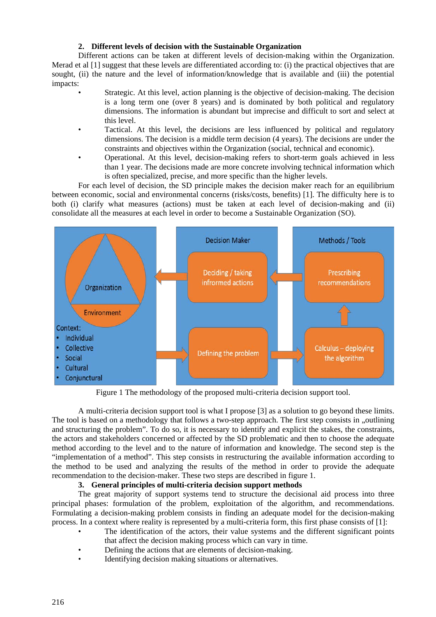## **2. Different levels of decision with the Sustainable Organization**

Different actions can be taken at different levels of decision-making within the Organization. Merad et al [1] suggest that these levels are differentiated according to: (i) the practical objectives that are sought, (ii) the nature and the level of information/knowledge that is available and (iii) the potential impacts:

- Strategic. At this level, action planning is the objective of decision-making. The decision is a long term one (over 8 years) and is dominated by both political and regulatory dimensions. The information is abundant but imprecise and difficult to sort and select at this level.
- Tactical. At this level, the decisions are less influenced by political and regulatory dimensions. The decision is a middle term decision (4 years). The decisions are under the constraints and objectives within the Organization (social, technical and economic).
- Operational. At this level, decision-making refers to short-term goals achieved in less than 1 year. The decisions made are more concrete involving technical information which is often specialized, precise, and more specific than the higher levels.

For each level of decision, the SD principle makes the decision maker reach for an equilibrium between economic, social and environmental concerns (risks/costs, benefits) [1]. The difficulty here is to both (i) clarify what measures (actions) must be taken at each level of decision-making and (ii) consolidate all the measures at each level in order to become a Sustainable Organization (SO).



Figure 1 The methodology of the proposed multi-criteria decision support tool.

A multi-criteria decision support tool is what I propose [3] as a solution to go beyond these limits. The tool is based on a methodology that follows a two-step approach. The first step consists in "outlining and structuring the problem". To do so, it is necessary to identify and explicit the stakes, the constraints, the actors and stakeholders concerned or affected by the SD problematic and then to choose the adequate method according to the level and to the nature of information and knowledge. The second step is the "implementation of a method". This step consists in restructuring the available information according to the method to be used and analyzing the results of the method in order to provide the adequate recommendation to the decision-maker. These two steps are described in figure 1.

# **3. General principles of multi-criteria decision support methods**

The great majority of support systems tend to structure the decisional aid process into three principal phases: formulation of the problem, exploitation of the algorithm, and recommendations. Formulating a decision-making problem consists in finding an adequate model for the decision-making process. In a context where reality is represented by a multi-criteria form, this first phase consists of [1]:

- The identification of the actors, their value systems and the different significant points that affect the decision making process which can vary in time.
- Defining the actions that are elements of decision-making.
- Identifying decision making situations or alternatives.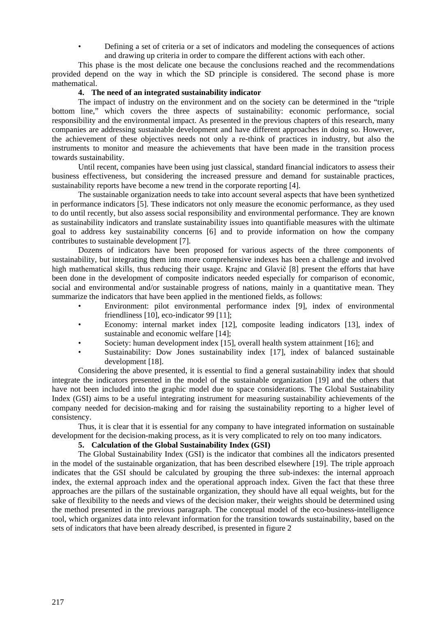• Defining a set of criteria or a set of indicators and modeling the consequences of actions and drawing up criteria in order to compare the different actions with each other.

This phase is the most delicate one because the conclusions reached and the recommendations provided depend on the way in which the SD principle is considered. The second phase is more mathematical.

#### **4. The need of an integrated sustainability indicator**

The impact of industry on the environment and on the society can be determined in the "triple bottom line," which covers the three aspects of sustainability: economic performance, social responsibility and the environmental impact. As presented in the previous chapters of this research, many companies are addressing sustainable development and have different approaches in doing so. However, the achievement of these objectives needs not only a re-think of practices in industry, but also the instruments to monitor and measure the achievements that have been made in the transition process towards sustainability.

Until recent, companies have been using just classical, standard financial indicators to assess their business effectiveness, but considering the increased pressure and demand for sustainable practices, sustainability reports have become a new trend in the corporate reporting [4].

The sustainable organization needs to take into account several aspects that have been synthetized in performance indicators [5]. These indicators not only measure the economic performance, as they used to do until recently, but also assess social responsibility and environmental performance. They are known as sustainability indicators and translate sustainability issues into quantifiable measures with the ultimate goal to address key sustainability concerns [6] and to provide information on how the company contributes to sustainable development [7].

Dozens of indicators have been proposed for various aspects of the three components of sustainability, but integrating them into more comprehensive indexes has been a challenge and involved high mathematical skills, thus reducing their usage. Krajnc and Glavič [8] present the efforts that have been done in the development of composite indicators needed especially for comparison of economic, social and environmental and/or sustainable progress of nations, mainly in a quantitative mean. They summarize the indicators that have been applied in the mentioned fields, as follows:

- Environment: pilot environmental performance index [9], index of environmental friendliness [10], eco-indicator 99 [11];
- Economy: internal market index [12], composite leading indicators [13], index of sustainable and economic welfare [14];
- Society: human development index [15], overall health system attainment [16]; and
- Sustainability: Dow Jones sustainability index [17], index of balanced sustainable development [18].

Considering the above presented, it is essential to find a general sustainability index that should integrate the indicators presented in the model of the sustainable organization [19] and the others that have not been included into the graphic model due to space considerations. The Global Sustainability Index (GSI) aims to be a useful integrating instrument for measuring sustainability achievements of the company needed for decision-making and for raising the sustainability reporting to a higher level of consistency.

Thus, it is clear that it is essential for any company to have integrated information on sustainable development for the decision-making process, as it is very complicated to rely on too many indicators.

## **5. Calculation of the Global Sustainability Index (GSI)**

The Global Sustainability Index (GSI) is the indicator that combines all the indicators presented in the model of the sustainable organization, that has been described elsewhere [19]. The triple approach indicates that the GSI should be calculated by grouping the three sub-indexes: the internal approach index, the external approach index and the operational approach index. Given the fact that these three approaches are the pillars of the sustainable organization, they should have all equal weights, but for the sake of flexibility to the needs and views of the decision maker, their weights should be determined using the method presented in the previous paragraph. The conceptual model of the eco-business-intelligence tool, which organizes data into relevant information for the transition towards sustainability, based on the sets of indicators that have been already described, is presented in figure 2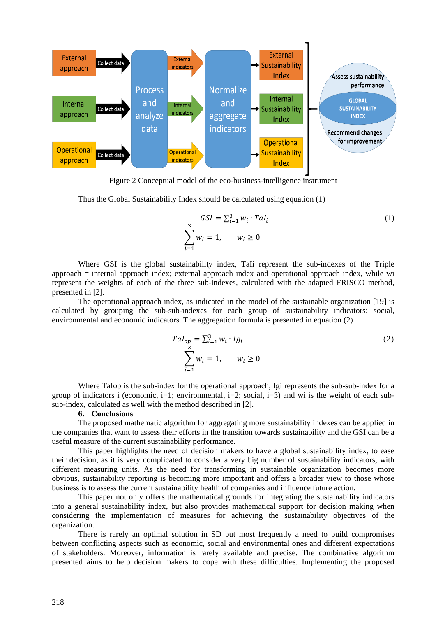

Figure 2 Conceptual model of the eco-business-intelligence instrument

Thus the Global Sustainability Index should be calculated using equation (1)

$$
GSI = \sum_{i=1}^{3} w_i \cdot Tal_i
$$
  

$$
\sum_{i=1}^{3} w_i = 1, \qquad w_i \ge 0.
$$
 (1)

Where GSI is the global sustainability index, TaIi represent the sub-indexes of the Triple approach = internal approach index; external approach index and operational approach index, while wi represent the weights of each of the three sub-indexes, calculated with the adapted FRISCO method, presented in [2].

The operational approach index, as indicated in the model of the sustainable organization [19] is calculated by grouping the sub-sub-indexes for each group of sustainability indicators: social, environmental and economic indicators. The aggregation formula is presented in equation (2)

$$
T a I_{op} = \sum_{i=1}^{3} w_i \cdot I g_i
$$
  

$$
\sum_{i=1}^{3} w_i = 1, \qquad w_i \ge 0.
$$
 (2)

Where TaIop is the sub-index for the operational approach, Igi represents the sub-sub-index for a group of indicators i (economic, i=1; environmental, i=2; social, i=3) and wi is the weight of each subsub-index, calculated as well with the method described in [2].

#### **6. Conclusions**

The proposed mathematic algorithm for aggregating more sustainability indexes can be applied in the companies that want to assess their efforts in the transition towards sustainability and the GSI can be a useful measure of the current sustainability performance.

This paper highlights the need of decision makers to have a global sustainability index, to ease their decision, as it is very complicated to consider a very big number of sustainability indicators, with different measuring units. As the need for transforming in sustainable organization becomes more obvious, sustainability reporting is becoming more important and offers a broader view to those whose business is to assess the current sustainability health of companies and influence future action.

This paper not only offers the mathematical grounds for integrating the sustainability indicators into a general sustainability index, but also provides mathematical support for decision making when considering the implementation of measures for achieving the sustainability objectives of the organization.

There is rarely an optimal solution in SD but most frequently a need to build compromises between conflicting aspects such as economic, social and environmental ones and different expectations of stakeholders. Moreover, information is rarely available and precise. The combinative algorithm presented aims to help decision makers to cope with these difficulties. Implementing the proposed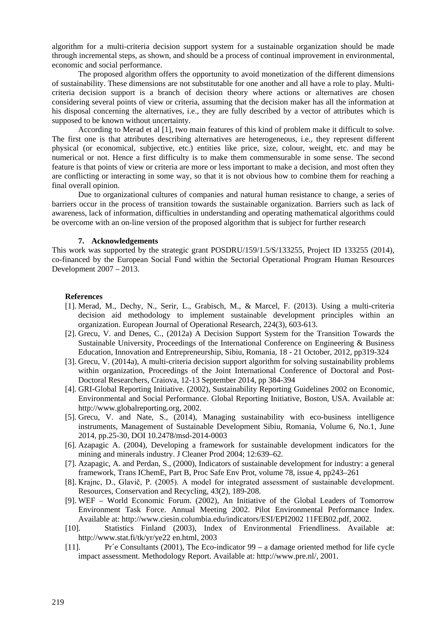algorithm for a multi-criteria decision support system for a sustainable organization should be made through incremental steps, as shown, and should be a process of continual improvement in environmental, economic and social performance.

The proposed algorithm offers the opportunity to avoid monetization of the different dimensions of sustainability. These dimensions are not substitutable for one another and all have a role to play. Multicriteria decision support is a branch of decision theory where actions or alternatives are chosen considering several points of view or criteria, assuming that the decision maker has all the information at his disposal concerning the alternatives, i.e., they are fully described by a vector of attributes which is supposed to be known without uncertainty.

According to Merad et al [1], two main features of this kind of problem make it difficult to solve. The first one is that attributes describing alternatives are heterogeneous, i.e., they represent different physical (or economical, subjective, etc.) entities like price, size, colour, weight, etc. and may be numerical or not. Hence a first difficulty is to make them commensurable in some sense. The second feature is that points of view or criteria are more or less important to make a decision, and most often they are conflicting or interacting in some way, so that it is not obvious how to combine them for reaching a final overall opinion.

Due to organizational cultures of companies and natural human resistance to change, a series of barriers occur in the process of transition towards the sustainable organization. Barriers such as lack of awareness, lack of information, difficulties in understanding and operating mathematical algorithms could be overcome with an on-line version of the proposed algorithm that is subject for further research

#### **7. Acknowledgements**

This work was supported by the strategic grant POSDRU/159/1.5/S/133255, Project ID 133255 (2014), co-financed by the European Social Fund within the Sectorial Operational Program Human Resources Development 2007 – 2013.

### **References**

- [1]. Merad, M., Dechy, N., Serir, L., Grabisch, M., & Marcel, F. (2013). Using a multi-criteria decision aid methodology to implement sustainable development principles within an organization. European Journal of Operational Research, 224(3), 603-613.
- [2]. Grecu, V. and Denes, C., (2012a) A Decision Support System for the Transition Towards the Sustainable University, Proceedings of the International Conference on Engineering & Business Education, Innovation and Entrepreneurship, Sibiu, Romania, 18 - 21 October, 2012, pp319-324
- [3]. Grecu, V. (2014a), A multi-criteria decision support algorithm for solving sustainability problems within organization, Proceedings of the Joint International Conference of Doctoral and Post-Doctoral Researchers, Craiova, 12-13 September 2014, pp 384-394
- [4]. GRI-Global Reporting Initiative. (2002), Sustainability Reporting Guidelines 2002 on Economic, Environmental and Social Performance. Global Reporting Initiative, Boston, USA. Available at: http://www.globalreporting.org, 2002.
- [5]. Grecu, V. and Nate, S., (2014), Managing sustainability with eco-business intelligence instruments, Management of Sustainable Development Sibiu, Romania, Volume 6, No.1, June 2014, pp.25-30, DOI 10.2478/msd-2014-0003
- [6]. Azapagic A. (2004), Developing a framework for sustainable development indicators for the mining and minerals industry. J Cleaner Prod 2004; 12:639–62.
- [7]. Azapagic, A. and Perdan, S., (2000), Indicators of sustainable development for industry: a general framework, Trans IChemE, Part B, Proc Safe Env Prot, volume 78, issue 4, pp243–261
- [8]. Krajnc, D., Glavič, P. (2005). A model for integrated assessment of sustainable development. Resources, Conservation and Recycling, 43(2), 189-208.
- [9]. WEF World Economic Forum. (2002), An Initiative of the Global Leaders of Tomorrow Environment Task Force. Annual Meeting 2002. Pilot Environmental Performance Index. Available at: http://www.ciesin.columbia.edu/indicators/ESI/EPI2002 11FEB02.pdf, 2002.
- [10]. Statistics Finland (2003), Index of Environmental Friendliness. Available at: http://www.stat.fi/tk/yr/ye22 en.html, 2003
- [11]. Pr´e Consultants (2001), The Eco-indicator 99 a damage oriented method for life cycle impact assessment. Methodology Report. Available at: http://www.pre.nl/, 2001.